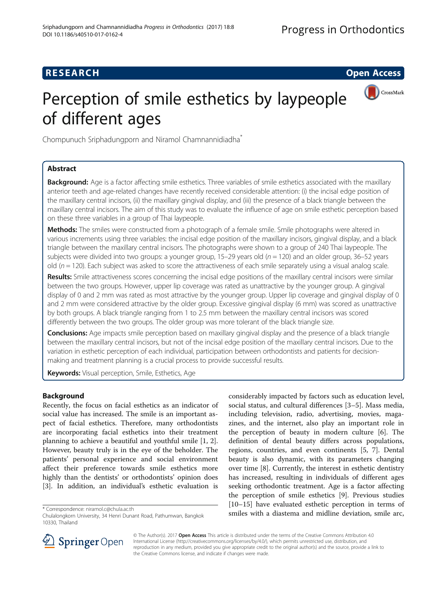## **RESEARCH CHEAR CHEAR CHEAR CHEAR CHEAR CHEAR CHEAR CHEAR CHEAR CHEAR CHEAR CHEAR CHEAR CHEAR CHEAR CHEAR CHEAR**

CrossMark

# Perception of smile esthetics by laypeople of different ages



## Abstract

Background: Age is a factor affecting smile esthetics. Three variables of smile esthetics associated with the maxillary anterior teeth and age-related changes have recently received considerable attention: (i) the incisal edge position of the maxillary central incisors, (ii) the maxillary gingival display, and (iii) the presence of a black triangle between the maxillary central incisors. The aim of this study was to evaluate the influence of age on smile esthetic perception based on these three variables in a group of Thai laypeople.

Methods: The smiles were constructed from a photograph of a female smile. Smile photographs were altered in various increments using three variables: the incisal edge position of the maxillary incisors, gingival display, and a black triangle between the maxillary central incisors. The photographs were shown to a group of 240 Thai laypeople. The subjects were divided into two groups: a younger group, 15–29 years old ( $n = 120$ ) and an older group, 36–52 years old ( $n = 120$ ). Each subject was asked to score the attractiveness of each smile separately using a visual analog scale.

Results: Smile attractiveness scores concerning the incisal edge positions of the maxillary central incisors were similar between the two groups. However, upper lip coverage was rated as unattractive by the younger group. A gingival display of 0 and 2 mm was rated as most attractive by the younger group. Upper lip coverage and gingival display of 0 and 2 mm were considered attractive by the older group. Excessive gingival display (6 mm) was scored as unattractive by both groups. A black triangle ranging from 1 to 2.5 mm between the maxillary central incisors was scored differently between the two groups. The older group was more tolerant of the black triangle size.

**Conclusions:** Age impacts smile perception based on maxillary gingival display and the presence of a black triangle between the maxillary central incisors, but not of the incisal edge position of the maxillary central incisors. Due to the variation in esthetic perception of each individual, participation between orthodontists and patients for decisionmaking and treatment planning is a crucial process to provide successful results.

Keywords: Visual perception, Smile, Esthetics, Age

## Background

Recently, the focus on facial esthetics as an indicator of social value has increased. The smile is an important aspect of facial esthetics. Therefore, many orthodontists are incorporating facial esthetics into their treatment planning to achieve a beautiful and youthful smile [\[1, 2](#page-6-0)]. However, beauty truly is in the eye of the beholder. The patients' personal experience and social environment affect their preference towards smile esthetics more highly than the dentists' or orthodontists' opinion does [[3\]](#page-6-0). In addition, an individual's esthetic evaluation is

considerably impacted by factors such as education level, social status, and cultural differences [[3](#page-6-0)–[5\]](#page-6-0). Mass media, including television, radio, advertising, movies, magazines, and the internet, also play an important role in the perception of beauty in modern culture [[6\]](#page-6-0). The definition of dental beauty differs across populations, regions, countries, and even continents [[5](#page-6-0), [7\]](#page-6-0). Dental beauty is also dynamic, with its parameters changing over time [\[8\]](#page-6-0). Currently, the interest in esthetic dentistry has increased, resulting in individuals of different ages seeking orthodontic treatment. Age is a factor affecting the perception of smile esthetics [[9\]](#page-6-0). Previous studies [[10](#page-6-0)–[15](#page-7-0)] have evaluated esthetic perception in terms of \* Correspondence: [niramol.c@chula.ac.th](mailto:niramol.c@chula.ac.th)<br>Chulalongkorn University, 34 Henri Dunant Road, Pathumwan, Bangkok smiles with a diastema and midline deviation, smile arc,



© The Author(s). 2017 **Open Access** This article is distributed under the terms of the Creative Commons Attribution 4.0 International License ([http://creativecommons.org/licenses/by/4.0/\)](http://creativecommons.org/licenses/by/4.0/), which permits unrestricted use, distribution, and reproduction in any medium, provided you give appropriate credit to the original author(s) and the source, provide a link to the Creative Commons license, and indicate if changes were made.

Chulalongkorn University, 34 Henri Dunant Road, Pathumwan, Bangkok 10330, Thailand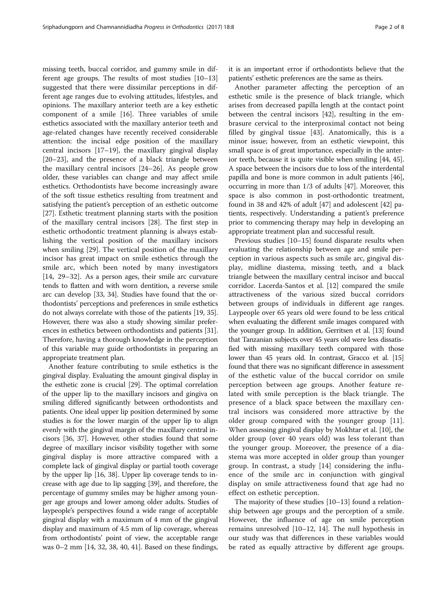missing teeth, buccal corridor, and gummy smile in different age groups. The results of most studies [[10](#page-6-0)–[13](#page-7-0)] suggested that there were dissimilar perceptions in different age ranges due to evolving attitudes, lifestyles, and opinions. The maxillary anterior teeth are a key esthetic component of a smile [\[16](#page-7-0)]. Three variables of smile esthetics associated with the maxillary anterior teeth and age-related changes have recently received considerable attention: the incisal edge position of the maxillary central incisors [\[17](#page-7-0)–[19\]](#page-7-0), the maxillary gingival display [[20](#page-7-0)–[23](#page-7-0)], and the presence of a black triangle between the maxillary central incisors [[24](#page-7-0)–[26\]](#page-7-0). As people grow older, these variables can change and may affect smile esthetics. Orthodontists have become increasingly aware of the soft tissue esthetics resulting from treatment and satisfying the patient's perception of an esthetic outcome [[27\]](#page-7-0). Esthetic treatment planning starts with the position of the maxillary central incisors [\[28](#page-7-0)]. The first step in esthetic orthodontic treatment planning is always establishing the vertical position of the maxillary incisors when smiling [\[29](#page-7-0)]. The vertical position of the maxillary incisor has great impact on smile esthetics through the smile arc, which been noted by many investigators [[14, 29](#page-7-0)–[32](#page-7-0)]. As a person ages, their smile arc curvature tends to flatten and with worn dentition, a reverse smile arc can develop [[33](#page-7-0), [34\]](#page-7-0). Studies have found that the orthodontists' perceptions and preferences in smile esthetics do not always correlate with those of the patients [\[19, 35](#page-7-0)]. However, there was also a study showing similar preferences in esthetics between orthodontists and patients [[31](#page-7-0)]. Therefore, having a thorough knowledge in the perception of this variable may guide orthodontists in preparing an appropriate treatment plan.

Another feature contributing to smile esthetics is the gingival display. Evaluating the amount gingival display in the esthetic zone is crucial [\[29\]](#page-7-0). The optimal correlation of the upper lip to the maxillary incisors and gingiva on smiling differed significantly between orthodontists and patients. One ideal upper lip position determined by some studies is for the lower margin of the upper lip to align evenly with the gingival margin of the maxillary central incisors [\[36, 37\]](#page-7-0). However, other studies found that some degree of maxillary incisor visibility together with some gingival display is more attractive compared with a complete lack of gingival display or partial tooth coverage by the upper lip [[16, 38\]](#page-7-0). Upper lip coverage tends to increase with age due to lip sagging [\[39\]](#page-7-0), and therefore, the percentage of gummy smiles may be higher among younger age groups and lower among older adults. Studies of laypeople's perspectives found a wide range of acceptable gingival display with a maximum of 4 mm of the gingival display and maximum of 4.5 mm of lip coverage, whereas from orthodontists' point of view, the acceptable range was 0–2 mm [[14](#page-7-0), [32](#page-7-0), [38, 40, 41](#page-7-0)]. Based on these findings,

it is an important error if orthodontists believe that the patients' esthetic preferences are the same as theirs.

Another parameter affecting the perception of an esthetic smile is the presence of black triangle, which arises from decreased papilla length at the contact point between the central incisors [\[42](#page-7-0)], resulting in the embrasure cervical to the interproximal contact not being filled by gingival tissue [[43\]](#page-7-0). Anatomically, this is a minor issue; however, from an esthetic viewpoint, this small space is of great importance, especially in the anterior teeth, because it is quite visible when smiling [[44](#page-7-0), [45](#page-7-0)]. A space between the incisors due to loss of the interdental papilla and bone is more common in adult patients [[46](#page-7-0)], occurring in more than 1/3 of adults [[47](#page-7-0)]. Moreover, this space is also common in post-orthodontic treatment, found in 38 and 42% of adult [[47](#page-7-0)] and adolescent [[42\]](#page-7-0) patients, respectively. Understanding a patient's preference prior to commencing therapy may help in developing an appropriate treatment plan and successful result.

Previous studies [\[10](#page-6-0)–[15\]](#page-7-0) found disparate results when evaluating the relationship between age and smile perception in various aspects such as smile arc, gingival display, midline diastema, missing teeth, and a black triangle between the maxillary central incisor and buccal corridor. Lacerda-Santos et al. [[12](#page-6-0)] compared the smile attractiveness of the various sized buccal corridors between groups of individuals in different age ranges. Laypeople over 65 years old were found to be less critical when evaluating the different smile images compared with the younger group. In addition, Gerritsen et al. [[13\]](#page-7-0) found that Tanzanian subjects over 45 years old were less dissatisfied with missing maxillary teeth compared with those lower than 45 years old. In contrast, Gracco et al. [\[15](#page-7-0)] found that there was no significant difference in assessment of the esthetic value of the buccal corridor on smile perception between age groups. Another feature related with smile perception is the black triangle. The presence of a black space between the maxillary central incisors was considered more attractive by the older group compared with the younger group [\[11](#page-6-0)]. When assessing gingival display by Mokhtar et al. [\[10](#page-6-0)], the older group (over 40 years old) was less tolerant than the younger group. Moreover, the presence of a diastema was more accepted in older group than younger group. In contrast, a study [\[14](#page-7-0)] considering the influence of the smile arc in conjunction with gingival display on smile attractiveness found that age had no effect on esthetic perception.

The majority of these studies [[10](#page-6-0)–[13](#page-7-0)] found a relationship between age groups and the perception of a smile. However, the influence of age on smile perception remains unresolved [[10](#page-6-0)–[12](#page-6-0), [14](#page-7-0)]. The null hypothesis in our study was that differences in these variables would be rated as equally attractive by different age groups.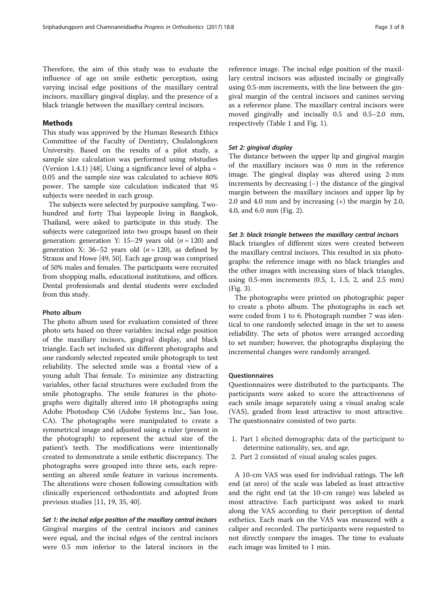Therefore, the aim of this study was to evaluate the influence of age on smile esthetic perception, using varying incisal edge positions of the maxillary central incisors, maxillary gingival display, and the presence of a black triangle between the maxillary central incisors.

## Methods

This study was approved by the Human Research Ethics Committee of the Faculty of Dentistry, Chulalongkorn University. Based on the results of a pilot study, a sample size calculation was performed using n4studies (Version 1.4.1) [\[48](#page-7-0)]. Using a significance level of alpha = 0.05 and the sample size was calculated to achieve 80% power. The sample size calculation indicated that 95 subjects were needed in each group.

The subjects were selected by purposive sampling. Twohundred and forty Thai laypeople living in Bangkok, Thailand, were asked to participate in this study. The subjects were categorized into two groups based on their generation: generation Y: 15–29 years old  $(n = 120)$  and generation X: 36–52 years old  $(n = 120)$ , as defined by Strauss and Howe [[49](#page-7-0), [50\]](#page-7-0). Each age group was comprised of 50% males and females. The participants were recruited from shopping malls, educational institutions, and offices. Dental professionals and dental students were excluded from this study.

## Photo album

The photo album used for evaluation consisted of three photo sets based on three variables: incisal edge position of the maxillary incisors, gingival display, and black triangle. Each set included six different photographs and one randomly selected repeated smile photograph to test reliability. The selected smile was a frontal view of a young adult Thai female. To minimize any distracting variables, other facial structures were excluded from the smile photographs. The smile features in the photographs were digitally altered into 18 photographs using Adobe Photoshop CS6 (Adobe Systems Inc., San Jose, CA). The photographs were manipulated to create a symmetrical image and adjusted using a ruler (present in the photograph) to represent the actual size of the patient's teeth. The modifications were intentionally created to demonstrate a smile esthetic discrepancy. The photographs were grouped into three sets, each representing an altered smile feature in various increments. The alterations were chosen following consultation with clinically experienced orthodontists and adopted from previous studies [[11](#page-6-0), [19](#page-7-0), [35](#page-7-0), [40](#page-7-0)].

Set 1: the incisal edge position of the maxillary central incisors Gingival margins of the central incisors and canines were equal, and the incisal edges of the central incisors were 0.5 mm inferior to the lateral incisors in the

reference image. The incisal edge position of the maxillary central incisors was adjusted incisally or gingivally using 0.5-mm increments, with the line between the gingival margin of the central incisors and canines serving as a reference plane. The maxillary central incisors were moved gingivally and incisally 0.5 and 0.5–2.0 mm, respectively (Table [1](#page-3-0) and Fig. [1\)](#page-3-0).

## Set 2: gingival display

The distance between the upper lip and gingival margin of the maxillary incisors was 0 mm in the reference image. The gingival display was altered using 2-mm increments by decreasing (−) the distance of the gingival margin between the maxillary incisors and upper lip by 2.0 and 4.0 mm and by increasing (+) the margin by 2.0, 4.0, and 6.0 mm (Fig. [2\)](#page-4-0).

## Set 3: black triangle between the maxillary central incisors

Black triangles of different sizes were created between the maxillary central incisors. This resulted in six photographs: the reference image with no black triangles and the other images with increasing sizes of black triangles, using 0.5-mm increments (0.5, 1, 1.5, 2, and 2.5 mm) (Fig. [3](#page-4-0)).

The photographs were printed on photographic paper to create a photo album. The photographs in each set were coded from 1 to 6. Photograph number 7 was identical to one randomly selected image in the set to assess reliability. The sets of photos were arranged according to set number; however, the photographs displaying the incremental changes were randomly arranged.

## **Questionnaires**

Questionnaires were distributed to the participants. The participants were asked to score the attractiveness of each smile image separately using a visual analog scale (VAS), graded from least attractive to most attractive. The questionnaire consisted of two parts:

- 1. Part 1 elicited demographic data of the participant to determine nationality, sex, and age.
- 2. Part 2 consisted of visual analog scales pages.

A 10-cm VAS was used for individual ratings. The left end (at zero) of the scale was labeled as least attractive and the right end (at the 10-cm range) was labeled as most attractive. Each participant was asked to mark along the VAS according to their perception of dental esthetics. Each mark on the VAS was measured with a caliper and recorded. The participants were requested to not directly compare the images. The time to evaluate each image was limited to 1 min.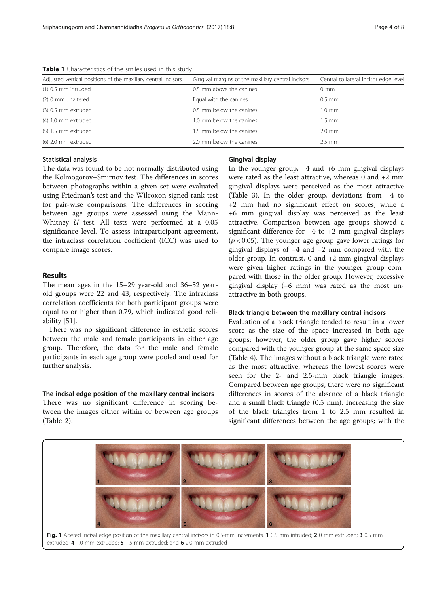The data was found to be not normally distributed using the Kolmogorov–Smirnov test. The differences in scores between photographs within a given set were evaluated using Friedman's test and the Wilcoxon signed-rank test for pair-wise comparisons. The differences in scoring between age groups were assessed using the Mann-Whitney U test. All tests were performed at a 0.05 significance level. To assess intraparticipant agreement, the intraclass correlation coefficient (ICC) was used to compare image scores.

## Results

Statistical analysis

The mean ages in the 15–29 year-old and 36–52 yearold groups were 22 and 43, respectively. The intraclass correlation coefficients for both participant groups were equal to or higher than 0.79, which indicated good reliability [[51](#page-7-0)].

There was no significant difference in esthetic scores between the male and female participants in either age group. Therefore, the data for the male and female participants in each age group were pooled and used for further analysis.

## The incisal edge position of the maxillary central incisors

There was no significant difference in scoring between the images either within or between age groups (Table [2\)](#page-5-0).

## Gingival display

In the younger group, −4 and +6 mm gingival displays were rated as the least attractive, whereas 0 and +2 mm gingival displays were perceived as the most attractive (Table [3](#page-5-0)). In the older group, deviations from −4 to +2 mm had no significant effect on scores, while a +6 mm gingival display was perceived as the least attractive. Comparison between age groups showed a significant difference for −4 to +2 mm gingival displays  $(p < 0.05)$ . The younger age group gave lower ratings for gingival displays of −4 and −2 mm compared with the older group. In contrast,  $0$  and  $+2$  mm gingival displays were given higher ratings in the younger group compared with those in the older group. However, excessive gingival display (+6 mm) was rated as the most unattractive in both groups.

## Black triangle between the maxillary central incisors

Evaluation of a black triangle tended to result in a lower score as the size of the space increased in both age groups; however, the older group gave higher scores compared with the younger group at the same space size (Table [4\)](#page-5-0). The images without a black triangle were rated as the most attractive, whereas the lowest scores were seen for the 2- and 2.5-mm black triangle images. Compared between age groups, there were no significant differences in scores of the absence of a black triangle and a small black triangle (0.5 mm). Increasing the size of the black triangles from 1 to 2.5 mm resulted in significant differences between the age groups; with the



Fig. 1 Altered incisal edge position of the maxillary central incisors in 0.5-mm increments. 1 0.5 mm intruded; 2 0 mm extruded; 3 0.5 mm extruded; 4 1.0 mm extruded; 5 1.5 mm extruded; and 6 2.0 mm extruded

<span id="page-3-0"></span>

| Adjusted vertical positions of the maxillary central incisors | Gingival margins of the maxillary central incisors | Central to lateral incisor edge leve |  |
|---------------------------------------------------------------|----------------------------------------------------|--------------------------------------|--|
| $(1)$ 0.5 mm intruded                                         | 0.5 mm above the canines                           | $0 \text{ mm}$                       |  |
| (2) 0 mm unaltered                                            | Equal with the canines                             | $0.5$ mm                             |  |
| (3) 0.5 mm extruded                                           | 0.5 mm below the canines                           | $1.0 \text{ mm}$                     |  |
| $(4)$ 1.0 mm extruded                                         | 1.0 mm below the canines                           | $1.5$ mm                             |  |
| (5) 1.5 mm extruded                                           | 1.5 mm below the canines                           | $2.0$ mm                             |  |
| (6) 2.0 mm extruded                                           | 2.0 mm below the canines                           | $2.5$ mm                             |  |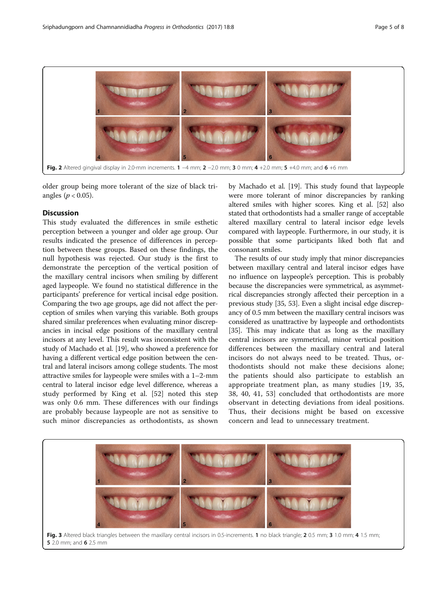<span id="page-4-0"></span>

older group being more tolerant of the size of black triangles ( $p < 0.05$ ).

## Discussion

This study evaluated the differences in smile esthetic perception between a younger and older age group. Our results indicated the presence of differences in perception between these groups. Based on these findings, the null hypothesis was rejected. Our study is the first to demonstrate the perception of the vertical position of the maxillary central incisors when smiling by different aged laypeople. We found no statistical difference in the participants' preference for vertical incisal edge position. Comparing the two age groups, age did not affect the perception of smiles when varying this variable. Both groups shared similar preferences when evaluating minor discrepancies in incisal edge positions of the maxillary central incisors at any level. This result was inconsistent with the study of Machado et al. [[19](#page-7-0)], who showed a preference for having a different vertical edge position between the central and lateral incisors among college students. The most attractive smiles for laypeople were smiles with a 1–2-mm central to lateral incisor edge level difference, whereas a study performed by King et al. [[52](#page-7-0)] noted this step was only 0.6 mm. These differences with our findings are probably because laypeople are not as sensitive to such minor discrepancies as orthodontists, as shown

by Machado et al. [\[19\]](#page-7-0). This study found that laypeople were more tolerant of minor discrepancies by ranking altered smiles with higher scores. King et al. [\[52\]](#page-7-0) also stated that orthodontists had a smaller range of acceptable altered maxillary central to lateral incisor edge levels compared with laypeople. Furthermore, in our study, it is possible that some participants liked both flat and consonant smiles.

The results of our study imply that minor discrepancies between maxillary central and lateral incisor edges have no influence on laypeople's perception. This is probably because the discrepancies were symmetrical, as asymmetrical discrepancies strongly affected their perception in a previous study [\[35](#page-7-0), [53\]](#page-7-0). Even a slight incisal edge discrepancy of 0.5 mm between the maxillary central incisors was considered as unattractive by laypeople and orthodontists [[35](#page-7-0)]. This may indicate that as long as the maxillary central incisors are symmetrical, minor vertical position differences between the maxillary central and lateral incisors do not always need to be treated. Thus, orthodontists should not make these decisions alone; the patients should also participate to establish an appropriate treatment plan, as many studies [[19, 35](#page-7-0), [38, 40](#page-7-0), [41, 53](#page-7-0)] concluded that orthodontists are more observant in detecting deviations from ideal positions. Thus, their decisions might be based on excessive concern and lead to unnecessary treatment.

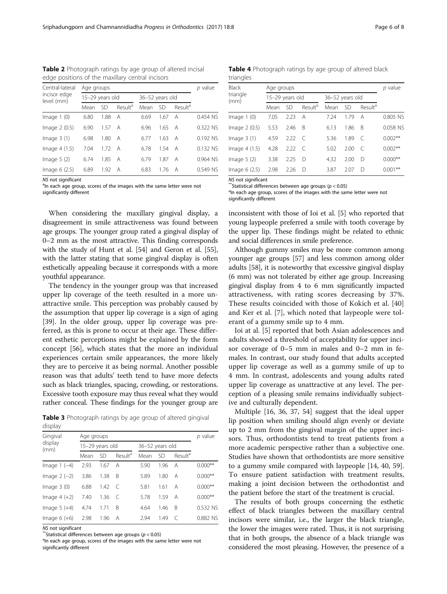<span id="page-5-0"></span>Table 2 Photograph ratings by age group of altered incisal edge positions of the maxillary central incisors

| Central-lateral<br>incisor edge<br>level (mm) | Age groups      |      |                     |                 |           |                     | p value  |
|-----------------------------------------------|-----------------|------|---------------------|-----------------|-----------|---------------------|----------|
|                                               | 15-29 years old |      |                     | 36-52 years old |           |                     |          |
|                                               | Mean            | .SD  | Result <sup>a</sup> | Mean            | <b>SD</b> | Result <sup>a</sup> |          |
| Image $1(0)$                                  | 6.80            | 1.88 | A                   | 6.69            | 1.67      | A                   | 0.454 NS |
| Image 2 (0.5)                                 | 6.90            | 1.57 | A                   | 6.96            | 1.65      | A                   | 0.322 NS |
| Image $3(1)$                                  | 6.98            | 1.80 | A                   | 6.77            | 1.63      | A                   | 0.192 NS |
| Image $4(1.5)$                                | 7.04            | 1.72 | A                   | 6.78            | 1.54      | A                   | 0.132 NS |
| Image $5(2)$                                  | 6.74            | 1.85 | A                   | 6.79            | 1.87      | A                   | 0.964 NS |
| Image $6(2.5)$                                | 6.89            | 1.92 | A                   | 6.83            | 1.76      | A                   | 0.549 NS |

NS not significant

<sup>a</sup>In each age group, scores of the images with the same letter were not significantly different

When considering the maxillary gingival display, a disagreement in smile attractiveness was found between age groups. The younger group rated a gingival display of 0–2 mm as the most attractive. This finding corresponds with the study of Hunt et al. [[54\]](#page-7-0) and Geron et al. [[55](#page-7-0)], with the latter stating that some gingival display is often esthetically appealing because it corresponds with a more youthful appearance.

The tendency in the younger group was that increased upper lip coverage of the teeth resulted in a more unattractive smile. This perception was probably caused by the assumption that upper lip coverage is a sign of aging [[39\]](#page-7-0). In the older group, upper lip coverage was preferred, as this is prone to occur at their age. These different esthetic perceptions might be explained by the form concept [\[56](#page-7-0)], which states that the more an individual experiences certain smile appearances, the more likely they are to perceive it as being normal. Another possible reason was that adults' teeth tend to have more defects such as black triangles, spacing, crowding, or restorations. Excessive tooth exposure may thus reveal what they would rather conceal. These findings for the younger group are

Table 3 Photograph ratings by age group of altered gingival display

| Gingival<br>display<br>(mm) | Age groups      | p value |                     |                 |           |                     |           |
|-----------------------------|-----------------|---------|---------------------|-----------------|-----------|---------------------|-----------|
|                             | 15-29 years old |         |                     | 36-52 years old |           |                     |           |
|                             | Mean            | SD      | Result <sup>a</sup> | Mean            | <b>SD</b> | Result <sup>a</sup> |           |
| Image $1(-4)$               | 2.93            | 1.67    | Α                   | 5.90            | 1.96      | А                   | $0.000**$ |
| Image $2(-2)$               | 3.86            | 1.38    | B                   | 5.89            | 1.80      | А                   | $0.000**$ |
| Image $3(0)$                | 6.88            | 1.42    | C                   | 5.81            | 1.61      | Α                   | $0.000**$ |
| Image $4 (+2)$              | 7.40            | 1.36    | C                   | 5.78            | 1.59      | Α                   | $0.000**$ |
| Image $5 (+4)$              | 4.74            | 1.71    | B                   | 4.64            | 1.46      | B                   | 0.532 NS  |
| Image $6 (+6)$              | 2.98            | 1.96    | Α                   | 2.94            | 1.49      | C                   | 0.882 NS  |

NS not significant<br>\*\*Statistical differences between age groups ( $p < 0.05$ )

Table 4 Photograph ratings by age group of altered black triangles

| <b>Black</b><br>triangle<br>(mm) | Age groups      | $p$ value |                     |                 |           |                     |            |
|----------------------------------|-----------------|-----------|---------------------|-----------------|-----------|---------------------|------------|
|                                  | 15-29 years old |           |                     | 36-52 years old |           |                     |            |
|                                  | Mean            | <b>SD</b> | Result <sup>a</sup> | Mean            | <b>SD</b> | Result <sup>a</sup> |            |
| Image $1(0)$                     | 7.05            | 2.23      | A                   | 7.24            | 1.79      | А                   | 0.805 NS   |
| Image 2 (0.5)                    | 5.53            | 2.46      | B                   | 6.13            | 1.86      | B                   | 0.058 NS   |
| Image $3(1)$                     | 4.59            | 2.22      | $\subset$           | 5.36            | 1.89      | $\subset$           | $0.002**$  |
| Image 4 (1.5)                    | 4.28            | 2.22      | $\subset$           | 5.02            | 2.00      | C                   | $0.002**$  |
| Image $5(2)$                     | 3.38            | 2.25      | D                   | 4.32            | 2.00      | D                   | $0.000**$  |
| Image 6 (2.5)                    | 2.98            | 2.26      | D                   | 3.87            | 2.07      | D                   | $0.001***$ |
|                                  |                 |           |                     |                 |           |                     |            |

NS not significant  $*$ Statistical differences between age groups ( $p < 0.05$ ) <sup>a</sup>ln each age group, scores of the images with the same letter were not significantly different

inconsistent with those of Ioi et al. [\[5](#page-6-0)] who reported that young laypeople preferred a smile with tooth coverage by the upper lip. These findings might be related to ethnic and social differences in smile preference.

Although gummy smiles may be more common among younger age groups [[57\]](#page-7-0) and less common among older adults [[58\]](#page-7-0), it is noteworthy that excessive gingival display (6 mm) was not tolerated by either age group. Increasing gingival display from 4 to 6 mm significantly impacted attractiveness, with rating scores decreasing by 37%. These results coincided with those of Kokich et al. [\[40](#page-7-0)] and Ker et al. [[7](#page-6-0)], which noted that laypeople were tolerant of a gummy smile up to 4 mm.

Ioi at al. [[5](#page-6-0)] reported that both Asian adolescences and adults showed a threshold of acceptability for upper incisor coverage of 0–5 mm in males and 0–2 mm in females. In contrast, our study found that adults accepted upper lip coverage as well as a gummy smile of up to 4 mm. In contrast, adolescents and young adults rated upper lip coverage as unattractive at any level. The perception of a pleasing smile remains individually subjective and culturally dependent.

Multiple [[16, 36, 37, 54\]](#page-7-0) suggest that the ideal upper lip position when smiling should align evenly or deviate up to 2 mm from the gingival margin of the upper incisors. Thus, orthodontists tend to treat patients from a more academic perspective rather than a subjective one. Studies have shown that orthodontists are more sensitive to a gummy smile compared with laypeople [[14, 40, 59](#page-7-0)]. To ensure patient satisfaction with treatment results, making a joint decision between the orthodontist and the patient before the start of the treatment is crucial.

The results of both groups concerning the esthetic effect of black triangles between the maxillary central incisors were similar, i.e., the larger the black triangle, the lower the images were rated. Thus, it is not surprising that in both groups, the absence of a black triangle was considered the most pleasing. However, the presence of a

<sup>&</sup>lt;sup>a</sup>In each age group, scores of the images with the same letter were not significantly different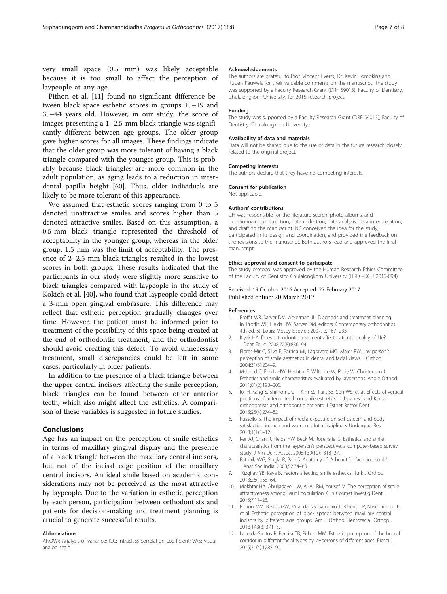<span id="page-6-0"></span>very small space (0.5 mm) was likely acceptable because it is too small to affect the perception of laypeople at any age.

Pithon et al. [11] found no significant difference between black space esthetic scores in groups 15–19 and 35–44 years old. However, in our study, the score of images presenting a 1–2.5-mm black triangle was significantly different between age groups. The older group gave higher scores for all images. These findings indicate that the older group was more tolerant of having a black triangle compared with the younger group. This is probably because black triangles are more common in the adult population, as aging leads to a reduction in interdental papilla height [\[60](#page-7-0)]. Thus, older individuals are likely to be more tolerant of this appearance.

We assumed that esthetic scores ranging from 0 to 5 denoted unattractive smiles and scores higher than 5 denoted attractive smiles. Based on this assumption, a 0.5-mm black triangle represented the threshold of acceptability in the younger group, whereas in the older group, 1.5 mm was the limit of acceptability. The presence of 2–2.5-mm black triangles resulted in the lowest scores in both groups. These results indicated that the participants in our study were slightly more sensitive to black triangles compared with laypeople in the study of Kokich et al. [\[40](#page-7-0)], who found that laypeople could detect a 3-mm open gingival embrasure. This difference may reflect that esthetic perception gradually changes over time. However, the patient must be informed prior to treatment of the possibility of this space being created at the end of orthodontic treatment, and the orthodontist should avoid creating this defect. To avoid unnecessary treatment, small discrepancies could be left in some cases, particularly in older patients.

In addition to the presence of a black triangle between the upper central incisors affecting the smile perception, black triangles can be found between other anterior teeth, which also might affect the esthetics. A comparison of these variables is suggested in future studies.

## Conclusions

Age has an impact on the perception of smile esthetics in terms of maxillary gingival display and the presence of a black triangle between the maxillary central incisors, but not of the incisal edge position of the maxillary central incisors. An ideal smile based on academic considerations may not be perceived as the most attractive by laypeople. Due to the variation in esthetic perception by each person, participation between orthodontists and patients for decision-making and treatment planning is crucial to generate successful results.

#### Abbreviations

ANOVA: Analysis of variance; ICC: Intraclass correlation coefficient; VAS: Visual analog scale

#### Acknowledgements

The authors are grateful to Prof. Vincent Everts, Dr. Kevin Tompkins and Ruben Pauwels for their valuable comments on the manuscript. The study was supported by a Faculty Research Grant (DRF 59013), Faculty of Dentistry, Chulalongkorn University, for 2015 research project.

## Funding

The study was supported by a Faculty Research Grant (DRF 59013), Faculty of Dentistry, Chulalongkorn University.

#### Availability of data and materials

Data will not be shared due to the use of data in the future research closely related to the original project.

## Competing interests

The authors declare that they have no competing interests.

## Consent for publication

Not applicable.

## Authors' contributions

CH was responsible for the literature search, photo albums, and questionnaire construction, data collection, data analysis, data interpretation, and drafting the manuscript. NC conceived the idea for the study, participated in its design and coordination, and provided the feedback on the revisions to the manuscript. Both authors read and approved the final manuscript.

#### Ethics approval and consent to participate

The study protocol was approved by the Human Research Ethics Committee of the Faculty of Dentistry, Chulalongkorn University (HREC-DCU 2015-094).

## Received: 19 October 2016 Accepted: 27 February 2017 Published online: 20 March 2017

## References

- 1. Proffit WR, Sarver DM, Ackerman JL. Diagnosis and treatment planning. In: Proffit WR, Fields HW, Sarver DM, editors. Contemporary orthodontics. 4th ed. St. Louis: Mosby Elsevier; 2007. p. 167–233.
- 2. Kiyak HA. Does orthodontic treatment affect patients' quality of life? J Dent Educ. 2008;72(8):886–94.
- 3. Flores-Mir C, Silva E, Barriga MI, Lagravere MO, Major PW. Lay person's perception of smile aesthetics in dental and facial views. J Orthod. 2004;31(3):204–9.
- 4. McLeod C, Fields HW, Hechter F, Wiltshire W, Rody W, Christensen J. Esthetics and smile characteristics evaluated by laypersons. Angle Orthod. 2011;81(2):198–205.
- 5. Ioi H, Kang S, Shimomura T, Kim SS, Park SB, Son WS, et al. Effects of vertical positions of anterior teeth on smile esthetics in Japanese and Korean orthodontists and orthodontic patients. J Esthet Restor Dent. 2013;25(4):274–82.
- 6. Russello S. The impact of media exposure on self-esteem and body satisfaction in men and women. J Interdisciplinary Undergrad Res. 2013;1(1):1–12.
- 7. Ker AJ, Chan R, Fields HW, Beck M, Rosenstiel S. Esthetics and smile characteristics from the layperson's perspective: a computer-based survey study. J Am Dent Assoc. 2008;139(10):1318–27.
- 8. Patnaik VVG, Singla R, Bala S. Anatomy of 'A beautiful face and smile'. J Anat Soc India. 2003;52:74–80.
- 9. Tüzgiray YB, Kaya B. Factors affecting smile esthetics. Turk J Orthod. 2013;26(1):58–64.
- 10. Mokhtar HA, Abuljadayel LW, Al-Ali RM, Yousef M. The perception of smile attractiveness among Saudi population. Clin Cosmet Investig Dent. 2015;7:17–23.
- 11. Pithon MM, Bastos GW, Miranda NS, Sampaio T, Ribeiro TP, Nascimento LE, et al. Esthetic perception of black spaces between maxillary central incisors by different age groups. Am J Orthod Dentofacial Orthop. 2013;143(3):371–5.
- 12. Lacerda-Santos R, Pereira TB, Pithon MM. Esthetic perception of the buccal corridor in different facial types by laypersons of different ages. Biosci J. 2015;31(4):1283–90.